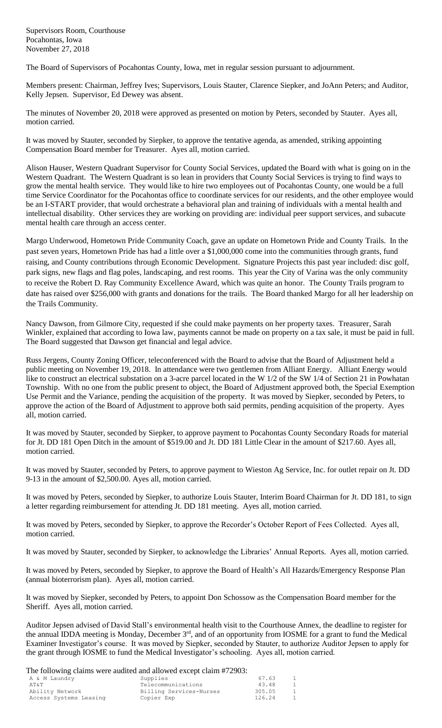The Board of Supervisors of Pocahontas County, Iowa, met in regular session pursuant to adjournment.

Members present: Chairman, Jeffrey Ives; Supervisors, Louis Stauter, Clarence Siepker, and JoAnn Peters; and Auditor, Kelly Jepsen. Supervisor, Ed Dewey was absent.

The minutes of November 20, 2018 were approved as presented on motion by Peters, seconded by Stauter. Ayes all, motion carried.

It was moved by Stauter, seconded by Siepker, to approve the tentative agenda, as amended, striking appointing Compensation Board member for Treasurer. Ayes all, motion carried.

Alison Hauser, Western Quadrant Supervisor for County Social Services, updated the Board with what is going on in the Western Quadrant. The Western Quadrant is so lean in providers that County Social Services is trying to find ways to grow the mental health service. They would like to hire two employees out of Pocahontas County, one would be a full time Service Coordinator for the Pocahontas office to coordinate services for our residents, and the other employee would be an I-START provider, that would orchestrate a behavioral plan and training of individuals with a mental health and intellectual disability. Other services they are working on providing are: individual peer support services, and subacute mental health care through an access center.

Margo Underwood, Hometown Pride Community Coach, gave an update on Hometown Pride and County Trails. In the past seven years, Hometown Pride has had a little over a \$1,000,000 come into the communities through grants, fund raising, and County contributions through Economic Development. Signature Projects this past year included: disc golf, park signs, new flags and flag poles, landscaping, and rest rooms. This year the City of Varina was the only community to receive the Robert D. Ray Community Excellence Award, which was quite an honor. The County Trails program to date has raised over \$256,000 with grants and donations for the trails. The Board thanked Margo for all her leadership on the Trails Community.

Nancy Dawson, from Gilmore City, requested if she could make payments on her property taxes. Treasurer, Sarah Winkler, explained that according to Iowa law, payments cannot be made on property on a tax sale, it must be paid in full. The Board suggested that Dawson get financial and legal advice.

Russ Jergens, County Zoning Officer, teleconferenced with the Board to advise that the Board of Adjustment held a public meeting on November 19, 2018. In attendance were two gentlemen from Alliant Energy. Alliant Energy would like to construct an electrical substation on a 3-acre parcel located in the W 1/2 of the SW 1/4 of Section 21 in Powhatan Township. With no one from the public present to object, the Board of Adjustment approved both, the Special Exemption Use Permit and the Variance, pending the acquisition of the property. It was moved by Siepker, seconded by Peters, to approve the action of the Board of Adjustment to approve both said permits, pending acquisition of the property. Ayes all, motion carried.

It was moved by Stauter, seconded by Siepker, to approve payment to Pocahontas County Secondary Roads for material for Jt. DD 181 Open Ditch in the amount of \$519.00 and Jt. DD 181 Little Clear in the amount of \$217.60. Ayes all, motion carried.

It was moved by Stauter, seconded by Peters, to approve payment to Wieston Ag Service, Inc. for outlet repair on Jt. DD 9-13 in the amount of \$2,500.00. Ayes all, motion carried.

It was moved by Peters, seconded by Siepker, to authorize Louis Stauter, Interim Board Chairman for Jt. DD 181, to sign a letter regarding reimbursement for attending Jt. DD 181 meeting. Ayes all, motion carried.

It was moved by Peters, seconded by Siepker, to approve the Recorder's October Report of Fees Collected. Ayes all, motion carried.

It was moved by Stauter, seconded by Siepker, to acknowledge the Libraries' Annual Reports. Ayes all, motion carried.

It was moved by Peters, seconded by Siepker, to approve the Board of Health's All Hazards/Emergency Response Plan (annual bioterrorism plan). Ayes all, motion carried.

It was moved by Siepker, seconded by Peters, to appoint Don Schossow as the Compensation Board member for the Sheriff. Ayes all, motion carried.

Auditor Jepsen advised of David Stall's environmental health visit to the Courthouse Annex, the deadline to register for the annual IDDA meeting is Monday, December 3<sup>rd</sup>, and of an opportunity from IOSME for a grant to fund the Medical Examiner Investigator's course. It was moved by Siepker, seconded by Stauter, to authorize Auditor Jepsen to apply for the grant through IOSME to fund the Medical Investigator's schooling. Ayes all, motion carried.

The following claims were audited and allowed except claim #72903:

| Supplies   | 67.63                                         |  |
|------------|-----------------------------------------------|--|
|            | 43.48                                         |  |
|            | 305.05                                        |  |
| Copier Exp | 126.24                                        |  |
|            | Telecommunications<br>Billing Services-Nurses |  |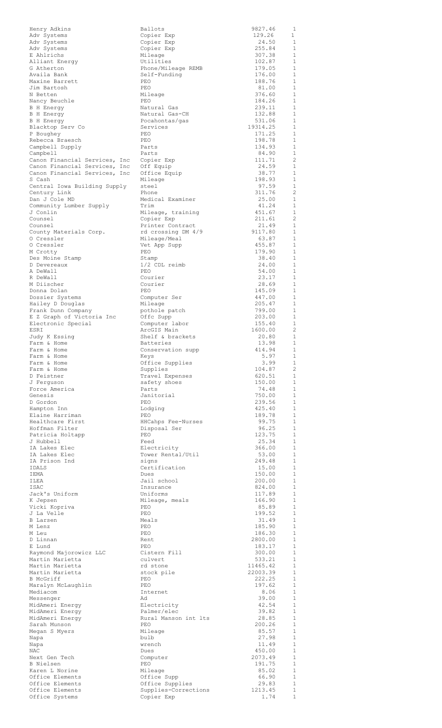| Henry Adkins                                                   | Ballots                              | 9827.46            | 1                            |
|----------------------------------------------------------------|--------------------------------------|--------------------|------------------------------|
| Adv Systems                                                    | Copier Exp                           | 129.26             | 1                            |
| Adv Systems                                                    | Copier Exp                           | 24.50<br>255.84    | 1<br>$\mathbf{1}$            |
| Adv Systems<br>E Ahlrichs                                      | Copier Exp<br>Mileage                | 307.38             | 1                            |
| Alliant Energy                                                 | Utilities                            | 102.87             | 1                            |
| G Atherton                                                     | Phone/Mileage REMB                   | 179.05             | $\mathbf{1}$                 |
| Availa Bank<br>Maxine Barrett                                  | Self-Funding<br>PEO                  | 176.00<br>188.76   | $\mathbf{1}$<br>1            |
| Jim Bartosh                                                    | PEO                                  | 81.00              | 1                            |
| N Betten                                                       | Mileage                              | 376.60             | 1                            |
| Nancy Beuchle                                                  | PEO<br>Natural Gas                   | 184.26<br>239.11   | 1<br>1                       |
| B H Energy<br>B H Energy                                       | Natural Gas-CH                       | 132.88             | $\mathbf{1}$                 |
| B H Energy                                                     | Pocahontas/gas                       | 531.06             | 1                            |
| Blacktop Serv Co                                               | Services                             | 19314.25           | 1                            |
| P Boughey<br>Rebecca Braesch                                   | PEO<br>PEO                           | 171.25<br>198.78   | $\mathbf{1}$<br>1            |
| Campbell Supply                                                | Parts                                | 134.93             | 1                            |
| Campbell                                                       | Parts                                | 84.90              | $\mathbf{1}$                 |
| Canon Financial Services, Inc<br>Canon Financial Services, Inc | Copier Exp<br>Off Equip              | 111.71<br>24.59    | $\overline{c}$<br>1          |
| Canon Financial Services, Inc                                  | Office Equip                         | 38.77              | 1                            |
| S Cash                                                         | Mileage                              | 198.93             | 1                            |
| Central Iowa Building Supply                                   | steel<br>Phone                       | 97.59<br>311.76    | 1<br>2                       |
| Century Link<br>Dan J Cole MD                                  | Medical Examiner                     | 25.00              | 1                            |
| Community Lumber Supply                                        | Trim                                 | 41.24              | 1                            |
| J Conlin                                                       | Mileage, training                    | 451.67             | $\mathbf{1}$                 |
| Counsel<br>Counsel                                             | Copier Exp<br>Printer Contract       | 211.61<br>21.49    | 2<br>$\mathbf{1}$            |
| County Materials Corp.                                         | rd crossing DM 4/9                   | 9117.80            | $\mathbf{1}$                 |
| 0 Cressler                                                     | Mileage/Meal                         | 63.87              | $\mathbf{1}$                 |
| 0 Cressler                                                     | Vet App Supp<br>PEO                  | 455.87<br>179.90   | $\mathbf{1}$<br>$\mathbf{1}$ |
| M Crotty<br>Des Moine Stamp                                    | Stamp                                | 38.40              | $\mathbf{1}$                 |
| D Devereaux                                                    | 1/2 CDL reimb                        | 24.00              | $\mathbf{1}$                 |
| A DeWall                                                       | PEO                                  | 54.00              | $\mathbf{1}$                 |
| R DeWall<br>M Diischer                                         | Courier<br>Courier                   | 23.17<br>28.69     | $\mathbf{1}$<br>$\mathbf{1}$ |
| Donna Dolan                                                    | PEO                                  | 145.09             | $\mathbf{1}$                 |
| Dossier Systems                                                | Computer Ser                         | 447.00             | 1                            |
| Hailey D Douglas                                               | Mileage                              | 205.47<br>799.00   | $\mathbf{1}$<br>1            |
| Frank Dunn Company<br>E Z Graph of Victoria Inc                | pothole patch<br>Offc Supp           | 203.00             | $\mathbf{1}$                 |
| Electronic Special                                             | Computer labor                       | 155.40             | $\mathbf{1}$                 |
| ESRI                                                           | ArcGIS Main                          | 1600.00            | $\overline{c}$               |
| Judy K Essing<br>Farm & Home                                   | Shelf & brackets<br><b>Batteries</b> | 20.80<br>13.98     | 1<br>1                       |
| Farm & Home                                                    | Conservation supp                    | 414.94             | 1                            |
| Farm & Home                                                    | Keys                                 | 5.97               | 1                            |
| Farm & Home<br>Farm & Home                                     | Office Supplies<br>Supplies          | 3.99<br>104.87     | 1<br>$\overline{c}$          |
| D Feistner                                                     | Travel Expenses                      | 620.51             | $\mathbf{1}$                 |
| J Ferquson                                                     | safety shoes                         | 150.00             | 1                            |
| Force America<br>Genesis                                       | Parts<br>Janitorial                  | 74.48<br>750.00    | 1<br>1                       |
| D Gordon                                                       | PEO                                  | 239.56             | $\mathbf{1}$                 |
| Hampton Inn                                                    | Lodging                              | 425.40             | $\mathbf{1}$                 |
| Elaine Harriman<br>Healthcare First                            | PEO<br>HHCahps Fee-Nurses            | 189.78<br>99.75    | 1<br>$\mathbf{1}$            |
| Hoffman Filter                                                 | Disposal Ser                         | 96.25              | $\mathbf{1}$                 |
| Patricia Holtapp                                               | PEO                                  | 123.75             | $\mathbf{1}$                 |
| J Hubbell                                                      | Feed                                 | 25.34              | 1                            |
| IA Lakes Elec<br>IA Lakes Elec                                 | Electricity<br>Tower Rental/Util     | 366.00<br>53.00    | $\mathbf{1}$<br>1            |
| IA Prison Ind                                                  | signs                                | 249.48             | $\mathbf{1}$                 |
| IDALS                                                          | Certification                        | 15.00              | $\mathbf{1}$                 |
| IEMA<br>ILEA                                                   | Dues<br>Jail school                  | 150.00<br>200.00   | 1<br>1                       |
| ISAC                                                           | Insurance                            | 824.00             | 1                            |
| Jack's Uniform                                                 | Uniforms                             | 117.89             | 1                            |
| K Jepsen<br>Vicki Kopriva                                      | Mileage, meals<br>PEO                | 166.90<br>85.89    | 1<br>1                       |
| J La Velle                                                     | PEO                                  | 199.52             | 1                            |
| B Larsen                                                       | Meals                                | 31.49              | $\mathbf{1}$                 |
| M Lenz<br>M Leu                                                | PEO<br>PEO                           | 185.90<br>186.30   | $\mathbf{1}$<br>$\mathbf{1}$ |
| D Linnan                                                       | Rent                                 | 2800.00            | $\mathbf{1}$                 |
| E Lund                                                         | PEO                                  | 183.17             | $\mathbf{1}$                 |
| Raymond Majorowicz LLC                                         | Cistern Fill                         | 300.00             | $\mathbf{1}$<br>$\mathbf{1}$ |
| Martin Marietta<br>Martin Marietta                             | culvert<br>rd stone                  | 533.21<br>11465.42 | $\mathbf{1}$                 |
| Martin Marietta                                                | stock pile                           | 22003.39           | $\mathbf{1}$                 |
| B McGriff                                                      | PEO                                  | 222.25             | $\mathbf{1}$                 |
| Maralyn McLaughlin<br>Mediacom                                 | PEO<br>Internet                      | 197.62<br>8.06     | $\mathbf{1}$<br>$\mathbf{1}$ |
| Messenger                                                      | Ad                                   | 39.00              | $\mathbf{1}$                 |
| MidAmeri Energy                                                | Electricity                          | 42.54              | $\mathbf{1}$                 |
| MidAmeri Energy<br>MidAmeri Energy                             | Palmer/elec<br>Rural Manson int lts  | 39.82<br>28.85     | $\mathbf{1}$<br>$\mathbf{1}$ |
| Sarah Munson                                                   | PEO                                  | 200.26             | $\mathbf{1}$                 |
| Megan S Myers                                                  | Mileage                              | 85.57              | $\mathbf{1}$                 |
| Napa<br>Napa                                                   | bulb<br>wrench                       | 27.98<br>11.49     | 1<br>1                       |
| NAC                                                            | Dues                                 | 450.00             | 1                            |
| Next Gen Tech                                                  | Computer                             | 2073.49            | 1                            |
| <b>B</b> Nielsen<br>Karen L Norine                             | PEO<br>Mileage                       | 191.75<br>85.02    | 1<br>1                       |
| Office Elements                                                | Office Supp                          | 66.90              | 1                            |
| Office Elements                                                | Office Supplies                      | 29.83              | 1                            |
| Office Elements<br>Office Systems                              | Supplies-Corrections<br>Copier Exp   | 1213.45<br>1.74    | 1<br>1                       |
|                                                                |                                      |                    |                              |